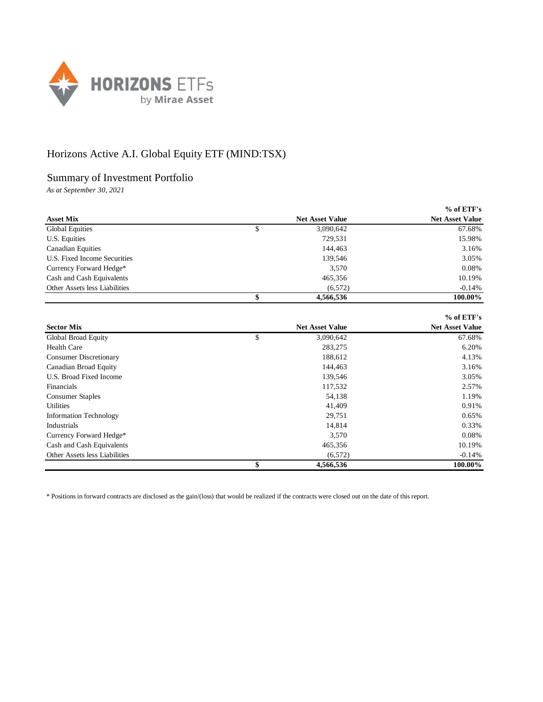

## Horizons Active A.I. Global Equity ETF (MIND:TSX)

## Summary of Investment Portfolio

*As at September 30, 2021*

|                               |                        |           | $%$ of ETF's           |
|-------------------------------|------------------------|-----------|------------------------|
| <b>Asset Mix</b>              | <b>Net Asset Value</b> |           | <b>Net Asset Value</b> |
| <b>Global Equities</b>        | \$                     | 3,090,642 | 67.68%                 |
| U.S. Equities                 |                        | 729,531   | 15.98%                 |
| <b>Canadian Equities</b>      |                        | 144,463   | 3.16%                  |
| U.S. Fixed Income Securities  |                        | 139.546   | 3.05%                  |
| Currency Forward Hedge*       |                        | 3,570     | 0.08%                  |
| Cash and Cash Equivalents     |                        | 465,356   | 10.19%                 |
| Other Assets less Liabilities |                        | (6,572)   | $-0.14%$               |
|                               |                        | 4.566.536 | 100.00%                |

|                               |                        | $%$ of ETF's           |
|-------------------------------|------------------------|------------------------|
| <b>Sector Mix</b>             | <b>Net Asset Value</b> | <b>Net Asset Value</b> |
| Global Broad Equity           | \$<br>3,090,642        | 67.68%                 |
| <b>Health Care</b>            | 283,275                | 6.20%                  |
| <b>Consumer Discretionary</b> | 188,612                | 4.13%                  |
| Canadian Broad Equity         | 144,463                | 3.16%                  |
| U.S. Broad Fixed Income       | 139,546                | 3.05%                  |
| Financials                    | 117,532                | 2.57%                  |
| <b>Consumer Staples</b>       | 54,138                 | 1.19%                  |
| <b>Utilities</b>              | 41,409                 | 0.91%                  |
| <b>Information Technology</b> | 29,751                 | 0.65%                  |
| Industrials                   | 14,814                 | 0.33%                  |
| Currency Forward Hedge*       | 3,570                  | 0.08%                  |
| Cash and Cash Equivalents     | 465,356                | 10.19%                 |
| Other Assets less Liabilities | (6,572)                | $-0.14%$               |
|                               | 4,566,536              | 100.00%                |

\* Positions in forward contracts are disclosed as the gain/(loss) that would be realized if the contracts were closed out on the date of this report.